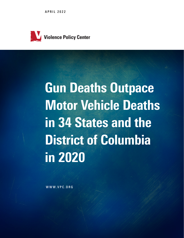APRIL 2022



# Gun Deaths Outpace Motor Vehicle Deaths in 34 States and the District of Columbia in 2020

WWW.VPC.ORG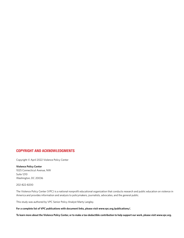#### COPYRIGHT AND ACKNOWLEDGMENTS

Copyright © April 2022 Violence Policy Center

#### **Violence Policy Center** 1025 Connecticut Avenue, NW Suite 1210 Washington, DC 20036

202-822-8200

The Violence Policy Center (VPC) is a national nonprofit educational organization that conducts research and public education on violence in America and provides information and analysis to policymakers, journalists, advocates, and the general public.

This study was authored by VPC Senior Policy Analyst Marty Langley.

**For a complete list of VPC publications with document links, please visit www.vpc.org/publications/.**

**To learn more about the Violence Policy Center, or to make a tax-deductible contribution to help support our work, please visit www.vpc.org.**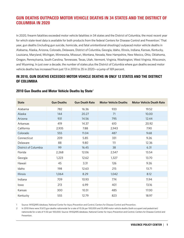## GUN DEATHS OUTPACED MOTOR VEHICLE DEATHS IN 34 STATES AND THE DISTRICT OF COLUMBIA IN 2020

In 2020, firearm fatalities exceeded motor vehicle fatalities in 34 states and the District of Columbia, the most recent year for which state-level data is available for both products from the federal Centers for Disease Control and Prevention.<sup>1</sup> That year, gun deaths (including gun suicide, homicide, and fatal unintentional shootings) outpaced motor vehicle deaths in Alabama, Alaska, Arizona, Colorado, Delaware, District of Columbia, Georgia, Idaho, Illinois, Indiana, Kansas, Kentucky, Louisiana, Maryland, Michigan, Minnesota, Missouri, Montana, Nevada, New Hampshire, New Mexico, Ohio, Oklahoma, Oregon, Pennsylvania, South Carolina, Tennessee, Texas, Utah, Vermont, Virginia, Washington, West Virginia, Wisconsin, and Wyoming. In just over a decade, the number of states plus the District of Columbia where gun deaths exceed motor vehicle deaths has increased from just 13 in 2010 to 35 in 2020—a jump of 169 percent.

### IN 2010, GUN DEATHS EXCEEDED MOTOR VEHICLE DEATHS IN ONLY 12 STATES AND THE DISTRICT OF COLUMBIA

| <b>State</b>         | <b>Gun Deaths</b> | <b>Gun Death Rate</b> | <b>Motor Vehicle Deaths</b> | <b>Motor Vehicle Death Rate</b> |
|----------------------|-------------------|-----------------------|-----------------------------|---------------------------------|
| Alabama              | 782               | 16.36                 | 933                         | 19.52                           |
| Alaska               | 144               | 20.27                 | 71                          | 10.00                           |
| Arizona              | 931               | 14.56                 | 795                         | 12.44                           |
| Arkansas             | 419               | 14.37                 | 610                         | 20.92                           |
| California           | 2,935             | 7.88                  | 2,943                       | 7.90                            |
| Colorado             | 555               | 11.04                 | 487                         | 9.68                            |
| Connecticut          | 209               | 5.85                  | 331                         | 9.26                            |
| Delaware             | 88                | 9.80                  | 111                         | 12.36                           |
| District of Columbia | 99                | 16.45                 | 38                          | 6.31                            |
| Florida              | 2,268             | 12.06                 | 2,547                       | 13.54                           |
| Georgia              | 1,223             | 12.62                 | 1,327                       | 13.70                           |
| Hawaii               | 45                | 3.31                  | 126                         | 9.26                            |
| Idaho                | 198               | 12.63                 | 215                         | 13.71                           |
| <b>Illinois</b>      | 1,064             | 8.29                  | 1,042                       | 8.12                            |
| Indiana              | 709               | 10.93                 | 774                         | 11.94                           |
| lowa                 | 213               | 6.99                  | 401                         | 13.16                           |
| Kansas               | 300               | 10.51                 | 485                         | 17.00                           |
| Kentucky             | 555               | 12.79                 | 823                         | 18.97                           |

#### 2010 Gun Deaths and Motor Vehicle Deaths by State<sup>2</sup>

1 Source: WISQARS database, National Center for Injury Prevention and Control, Centers for Disease Control and Prevention.

2 In 2010 there were 31,672 gun deaths nationwide for a rate of 10.26 per 100,000 and 35,498 motor vehicle deaths (both occupant and pedestrian) nationwide for a rate of 11.50 per 100,000. Source: WISQARS database, National Center for Injury Prevention and Control, Centers for Disease Control and Prevention.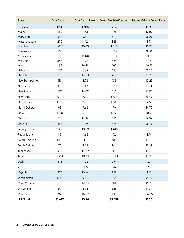| <b>State</b>   | <b>Gun Deaths</b> | <b>Gun Death Rate</b> | <b>Motor Vehicle Deaths</b> | <b>Motor Vehicle Death Rate</b> |
|----------------|-------------------|-----------------------|-----------------------------|---------------------------------|
| Louisiana      | 864               | 19.06                 | 722                         | 15.93                           |
| Maine          | 113               | 8.51                  | 171                         | 12.87                           |
| Maryland       | 538               | 9.32                  | 514                         | 8.90                            |
| Massachusetts  | 270               | 4.12                  | 388                         | 5.93                            |
| Michigan       | 1,076             | 10.89                 | 1,063                       | 10.75                           |
| Minnesota      | 365               | 6.88                  | 520                         | 9.80                            |
| Mississippi    | 475               | 16.00                 | 683                         | 23.01                           |
| Missouri       | 846               | 14.13                 | 875                         | 14.61                           |
| Montana        | 164               | 16.58                 | 192                         | 19.41                           |
| Nebraska       | 152               | 8.32                  | 213                         | 11.66                           |
| Nevada         | 395               | 14.63                 | 289                         | 10.70                           |
| New Hampshire  | 118               | 8.96                  | 135                         | 10.25                           |
| New Jersey     | 456               | 5.19                  | 583                         | 6.63                            |
| New Mexico     | 301               | 14.62                 | 331                         | 16.07                           |
| New York       | 1,011             | 5.22                  | 1,330                       | 6.86                            |
| North Carolina | 1,123             | 11.78                 | 1,383                       | 14.50                           |
| North Dakota   | 65                | 9.66                  | 99                          | 14.72                           |
| Ohio           | 1,148             | 9.95                  | 1,259                       | 10.91                           |
| Oklahoma       | 538               | 14.34                 | 716                         | 19.09                           |
| Oregon         | 458               | 11.95                 | 324                         | 8.46                            |
| Pennsylvania   | 1,307             | 10.29                 | 1,445                       | 11.38                           |
| Rhode Island   | 49                | 4.65                  | 92                          | 8.74                            |
| South Carolina | 648               | 14.01                 | 812                         | 17.56                           |
| South Dakota   | 75                | 9.21                  | 144                         | 17.69                           |
| Tennessee      | 932               | 14.69                 | 1,103                       | 17.38                           |
| Texas          | 2,714             | 10.79                 | 3,343                       | 13.29                           |
| Utah           | 314               | 11.36                 | 274                         | 9.91                            |
| Vermont        | 70                | 11.19                 | 76                          | 12.15                           |
| Virginia       | 875               | 10.94                 | 728                         | 9.10                            |
| Washington     | 609               | 9.06                  | 554                         | 8.24                            |
| West Virginia  | 273               | 14.73                 | 311                         | 16.78                           |
| Wisconsin      | 501               | 8.81                  | 628                         | 11.04                           |
| Wyoming        | 92                | 16.32                 | 139                         | 24.66                           |
| U.S. Total     | 31,672            | 10.26                 | 35,498                      | 11.50                           |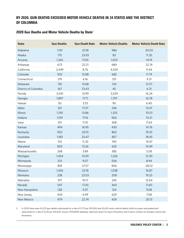## BY 2020, GUN DEATHS EXCEEDED MOTOR VEHICLE DEATHS IN 34 STATES AND THE DISTRICT OF COLUMBIA

#### 2020 Gun Deaths and Motor Vehicle Deaths by State<sup>3</sup>

| <b>State</b>         | <b>Gun Deaths</b> | <b>Gun Death Rate</b> | <b>Motor Vehicle Deaths</b> | <b>Motor Vehicle Death Rate</b> |
|----------------------|-------------------|-----------------------|-----------------------------|---------------------------------|
| Alabama              | 1,141             | 23.18                 | 986                         | 20.03                           |
| Alaska               | 175               | 23.93                 | 83                          | 11.35                           |
| Arizona              | 1,265             | 17.05                 | 1,053                       | 14.19                           |
| Arkansas             | 673               | 22.21                 | 689                         | 22.74                           |
| California           | 3,449             | 8.76                  | 4,505                       | 11.44                           |
| Colorado             | 922               | 15.88                 | 685                         | 11.79                           |
| Connecticut          | 219               | 6.16                  | 331                         | 9.31                            |
| Delaware             | 135               | 13.68                 | 124                         | 12.57                           |
| District of Columbia | 167               | 23.43                 | 45                          | 6.31                            |
| Florida              | 3,041             | 13.99                 | 3,529                       | 16.24                           |
| Georgia              | 1,897             | 17.71                 | 1,797                       | 16.78                           |
| Hawaii               | 50                | 3.55                  | 90                          | 6.40                            |
| Idaho                | 321               | 17.57                 | 246                         | 13.47                           |
| Illinois             | 1,745             | 13.86                 | 1,325                       | 10.53                           |
| Indiana              | 1,159             | 17.16                 | 960                         | 14.21                           |
| lowa                 | 351               | 11.10                 | 368                         | 11.63                           |
| Kansas               | 494               | 16.95                 | 430                         | 14.76                           |
| Kentucky             | 902               | 20.15                 | 862                         | 19.25                           |
| Louisiana            | 1,183             | 25.47                 | 857                         | 18.45                           |
| Maine                | 153               | 11.33                 | 190                         | 14.07                           |
| Maryland             | 803               | 13.26                 | 635                         | 10.49                           |
| Massachusetts        | 268               | 3.89                  | 385                         | 5.58                            |
| Michigan             | 1,454             | 14.59                 | 1,226                       | 12.30                           |
| Minnesota            | 513               | 9.07                  | 506                         | 8.94                            |
| Mississippi          | 818               | 27.57                 | 846                         | 28.52                           |
| Missouri             | 1,426             | 23.18                 | 1,038                       | 16.87                           |
| Montana              | 238               | 22.03                 | 208                         | 19.25                           |
| Nebraska             | 197               | 10.17                 | 245                         | 12.64                           |
| Nevada               | 547               | 17.43                 | 364                         | 11.60                           |
| New Hampshire        | 128               | 9.37                  | 124                         | 9.08                            |
| New Jersey           | 443               | 4.99                  | 629                         | 7.08                            |
| New Mexico           | 479               | 22.74                 | 424                         | 20.13                           |

3 In 2020 there were 45,222 gun deaths nationwide for a rate of 13.73 per 100,000 and 42,632 motor vehicle deaths (both occupant and pedestrian) nationwide for a rate of 12.94 per 100,000. Source: WISQARS database, National Center for Injury Prevention and Control, Centers for Disease Control and Prevention.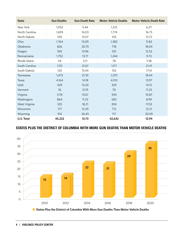| <b>State</b>   | <b>Gun Deaths</b> | <b>Gun Death Rate</b> | <b>Motor Vehicle Deaths</b> | <b>Motor Vehicle Death Rate</b> |
|----------------|-------------------|-----------------------|-----------------------------|---------------------------------|
| New York       | 1,052             | 5.44                  | 1,213                       | 6.27                            |
| North Carolina | 1,699             | 16.03                 | 1,774                       | 16.73                           |
| North Dakota   | 100               | 13.07                 | 105                         | 13.72                           |
| Ohio           | 1,764             | 15.09                 | 1,383                       | 11.83                           |
| Oklahoma       | 826               | 20.75                 | 718                         | 18.04                           |
| Oregon         | 592               | 13.96                 | 531                         | 12.52                           |
| Pennsylvania   | 1,752             | 13.71                 | 1,244                       | 9.73                            |
| Rhode Island   | 54                | 5.11                  | 78                          | 7.38                            |
| South Carolina | 1,131             | 21.67                 | 1,117                       | 21.41                           |
| South Dakota   | 120               | 13.44                 | 153                         | 17.14                           |
| Tennessee      | 1,473             | 21.39                 | 1,270                       | 18.44                           |
| Texas          | 4,164             | 14.18                 | 4,103                       | 13.97                           |
| Utah           | 429               | 13.20                 | 329                         | 10.12                           |
| Vermont        | 76                | 12.19                 | 70                          | 11.23                           |
| Virginia       | 1,174             | 13.67                 | 934                         | 10.87                           |
| Washington     | 864               | 11.23                 | 692                         | 8.99                            |
| West Virginia  | 325               | 18.21                 | 304                         | 17.03                           |
| Wisconsin      | 717               | 12.29                 | 712                         | 12.21                           |
| Wyoming        | 154               | 26.45                 | 117                         | 20.09                           |
| U.S. Total     | 45,222            | 13.73                 | 42,632                      | 12.94                           |

## STATES PLUS THE DISTRICT OF COLUMBIA WITH MORE GUN DEATHS THAN MOTOR VEHICLE DEATHS



■ States Plus the District of Columbia With More Gun Deaths Than Motor Vehicle Deaths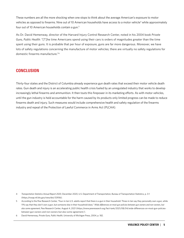These numbers are all the more shocking when one stops to think about the average American's exposure to motor vehicles as opposed to firearms. Nine out of 10 American households have access to a motor vehicle<sup>4</sup> while approximately four out of 10 American households contain a gun.<sup>5</sup>

As Dr. David Hemenway, director of the Harvard Injury Control Research Center, noted in his 2004 book *Private Guns, Public Health*: "[T]he time Americans spend using their cars is orders of magnitudes greater than the time spent using their guns. It is probable that per hour of exposure, guns are far more dangerous. Moreover, we have lots of safety regulations concerning the manufacture of motor vehicles; there are virtually no safety regulations for domestic firearms manufacture."6

## **CONCLUSION**

Thirty-four states and the District of Columbia already experience gun death rates that exceed their motor vehicle death rates. Gun death and injury is an accelerating public health crisis fueled by an unregulated industry that works to develop increasingly lethal firearms and ammunition. It then touts this firepower in its marketing efforts. As with motor vehicles, until the gun industry is held accountable for the harm caused by its products only limited progress can be made to reduce firearms death and injury. Such measures would include comprehensive health and safety regulation of the firearms industry and repeal of the Protection of Lawful Commerce in Arms Act (PLCAA).

4 *Transportation Statistics Annual Report 2020*, December 2020, U.S. Department of Transportation, Bureau of Transportation Statistics, p. 3-1 [\(https://rosap.ntl.bts.gov/view/dot/53936](https://rosap.ntl.bts.gov/view/dot/53936)).

<sup>5</sup> According to the Pew Research Center, "Four-in-ten U.S. adults report that there is a gun in their household: Three-in-ten say they personally own a gun, while 11% say that they don't own a gun, but someone else in their household does." *Wide differences on most gun policies between gun owners and non-owners, but also some agreement*, Pew Research Center, August 4, 2021 ([https://www.pewresearch.org/fact-tank/2021/08/04/wide-differences-on-most-gun-policies](https://www.pewresearch.org/fact-tank/2021/08/04/wide-differences-on-most-gun-policies-between-gun-owners-and-non-owners-but-also-some-agreement/)[between-gun-owners-and-non-owners-but-also-some-agreement/](https://www.pewresearch.org/fact-tank/2021/08/04/wide-differences-on-most-gun-policies-between-gun-owners-and-non-owners-but-also-some-agreement/)).

<sup>6</sup> David Hemenway, *Private Guns, Public Health*, University of Michigan Press, 2004, p. 182.